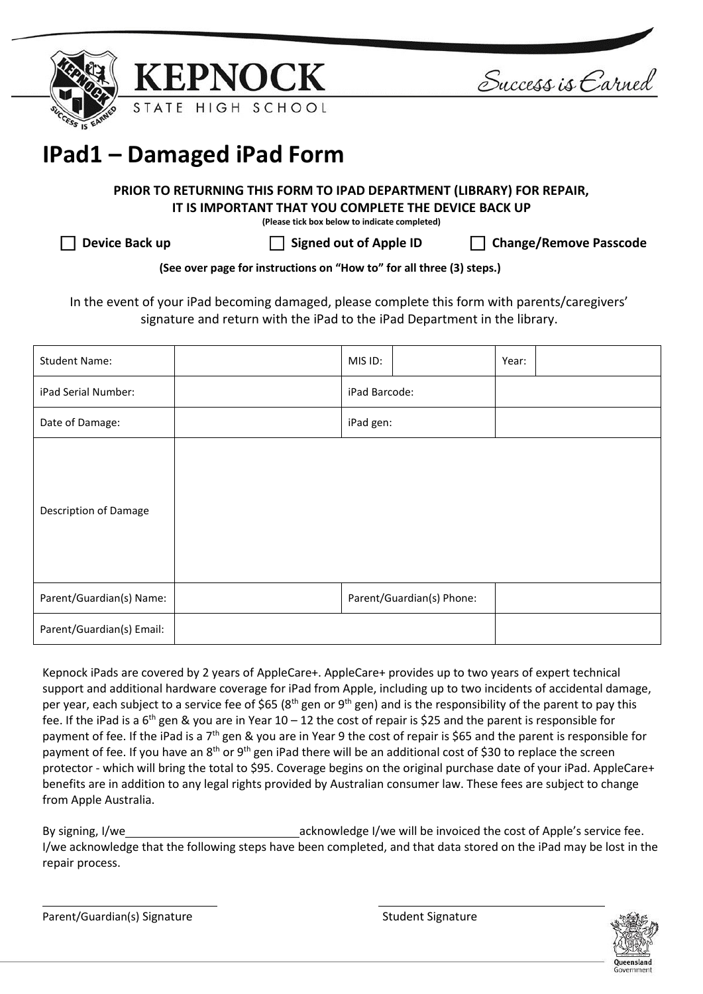



Success is Earned

# **IPad1 – Damaged iPad Form**

## **PRIOR TO RETURNING THIS FORM TO IPAD DEPARTMENT (LIBRARY) FOR REPAIR, IT IS IMPORTANT THAT YOU COMPLETE THE DEVICE BACK UP**

**(Please tick box below to indicate completed)**

**Device Back up Signed out of Apple ID Change/Remove Passcode**

**(See over page for instructions on "How to" for all three (3) steps.)**

In the event of your iPad becoming damaged, please complete this form with parents/caregivers' signature and return with the iPad to the iPad Department in the library.

| <b>Student Name:</b>         | MIS ID:                   |  | Year: |  |
|------------------------------|---------------------------|--|-------|--|
| iPad Serial Number:          | iPad Barcode:             |  |       |  |
| Date of Damage:              | iPad gen:                 |  |       |  |
| <b>Description of Damage</b> |                           |  |       |  |
| Parent/Guardian(s) Name:     | Parent/Guardian(s) Phone: |  |       |  |
| Parent/Guardian(s) Email:    |                           |  |       |  |

Kepnock iPads are covered by 2 years of AppleCare+. AppleCare+ provides up to two years of expert technical support and additional hardware coverage for iPad from Apple, including up to two incidents of accidental damage, per year, each subject to a service fee of \$65 ( $8<sup>th</sup>$  gen or  $9<sup>th</sup>$  gen) and is the responsibility of the parent to pay this fee. If the iPad is a  $6<sup>th</sup>$  gen & you are in Year 10 – 12 the cost of repair is \$25 and the parent is responsible for payment of fee. If the iPad is a 7<sup>th</sup> gen & you are in Year 9 the cost of repair is \$65 and the parent is responsible for payment of fee. If you have an 8<sup>th</sup> or 9<sup>th</sup> gen iPad there will be an additional cost of \$30 to replace the screen protector - which will bring the total to \$95. Coverage begins on the original purchase date of your iPad. AppleCare+ benefits are in addition to any legal rights provided by Australian consumer law. These fees are subject to change from Apple Australia.

By signing, I/we acknowledge I/we will be invoiced the cost of Apple's service fee. I/we acknowledge that the following steps have been completed, and that data stored on the iPad may be lost in the repair process.

Parent/Guardian(s) Signature Student Signature Student Signature